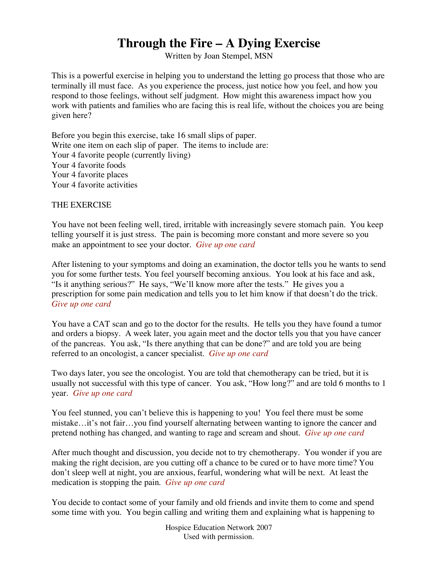## **Through the Fire – A Dying Exercise**

Written by Joan Stempel, MSN

This is a powerful exercise in helping you to understand the letting go process that those who are terminally ill must face. As you experience the process, just notice how you feel, and how you respond to those feelings, without self judgment. How might this awareness impact how you work with patients and families who are facing this is real life, without the choices you are being given here?

Before you begin this exercise, take 16 small slips of paper. Write one item on each slip of paper. The items to include are: Your 4 favorite people (currently living) Your 4 favorite foods Your 4 favorite places Your 4 favorite activities

## THE EXERCISE

You have not been feeling well, tired, irritable with increasingly severe stomach pain. You keep telling yourself it is just stress. The pain is becoming more constant and more severe so you make an appointment to see your doctor. *Give up one card*

After listening to your symptoms and doing an examination, the doctor tells you he wants to send you for some further tests. You feel yourself becoming anxious. You look at his face and ask, "Is it anything serious?" He says, "We'll know more after the tests." He gives you a prescription for some pain medication and tells you to let him know if that doesn't do the trick. *Give up one card*

You have a CAT scan and go to the doctor for the results. He tells you they have found a tumor and orders a biopsy. A week later, you again meet and the doctor tells you that you have cancer of the pancreas. You ask, "Is there anything that can be done?" and are told you are being referred to an oncologist, a cancer specialist. *Give up one card*

Two days later, you see the oncologist. You are told that chemotherapy can be tried, but it is usually not successful with this type of cancer. You ask, "How long?" and are told 6 months to 1 year. *Give up one card*

You feel stunned, you can't believe this is happening to you! You feel there must be some mistake…it's not fair…you find yourself alternating between wanting to ignore the cancer and pretend nothing has changed, and wanting to rage and scream and shout. *Give up one card*

After much thought and discussion, you decide not to try chemotherapy. You wonder if you are making the right decision, are you cutting off a chance to be cured or to have more time? You don't sleep well at night, you are anxious, fearful, wondering what will be next. At least the medication is stopping the pain. *Give up one card*

You decide to contact some of your family and old friends and invite them to come and spend some time with you. You begin calling and writing them and explaining what is happening to

> Hospice Education Network 2007 Used with permission.